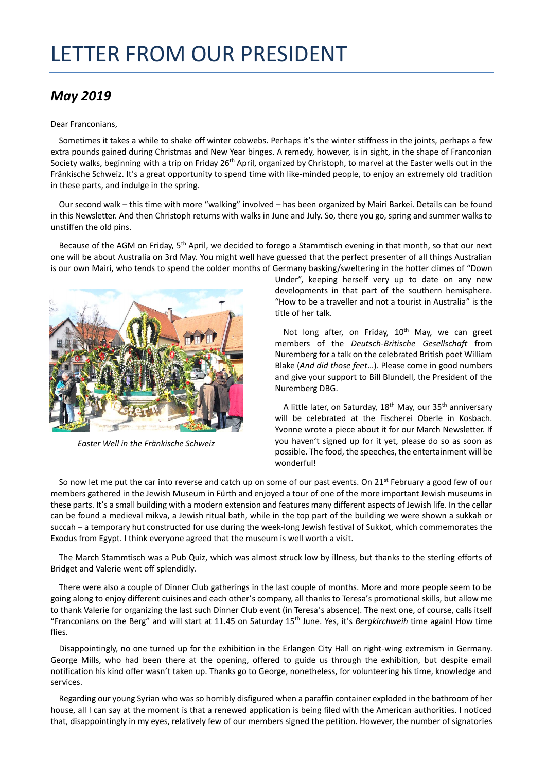## LETTER FROM OUR PRESIDENT

## *May 2019*

## Dear Franconians,

Sometimes it takes a while to shake off winter cobwebs. Perhaps it's the winter stiffness in the joints, perhaps a few extra pounds gained during Christmas and New Year binges. A remedy, however, is in sight, in the shape of Franconian Society walks, beginning with a trip on Friday 26<sup>th</sup> April, organized by Christoph, to marvel at the Easter wells out in the Fränkische Schweiz. It's a great opportunity to spend time with like-minded people, to enjoy an extremely old tradition in these parts, and indulge in the spring.

Our second walk – this time with more "walking" involved – has been organized by Mairi Barkei. Details can be found in this Newsletter. And then Christoph returns with walks in June and July. So, there you go, spring and summer walks to unstiffen the old pins.

Because of the AGM on Friday, 5<sup>th</sup> April, we decided to forego a Stammtisch evening in that month, so that our next one will be about Australia on 3rd May. You might well have guessed that the perfect presenter of all things Australian is our own Mairi, who tends to spend the colder months of Germany basking/sweltering in the hotter climes of "Down



*Easter Well in the Fränkische Schweiz*

Under", keeping herself very up to date on any new developments in that part of the southern hemisphere. "How to be a traveller and not a tourist in Australia" is the title of her talk.

Not long after, on Friday, 10<sup>th</sup> May, we can greet members of the *Deutsch-Britische Gesellschaft* from Nuremberg for a talk on the celebrated British poet William Blake (*And did those feet*…). Please come in good numbers and give your support to Bill Blundell, the President of the Nuremberg DBG.

A little later, on Saturday,  $18<sup>th</sup>$  May, our  $35<sup>th</sup>$  anniversary will be celebrated at the Fischerei Oberle in Kosbach. Yvonne wrote a piece about it for our March Newsletter. If you haven't signed up for it yet, please do so as soon as possible. The food, the speeches, the entertainment will be wonderful!

So now let me put the car into reverse and catch up on some of our past events. On  $21^{st}$  February a good few of our members gathered in the Jewish Museum in Fürth and enjoyed a tour of one of the more important Jewish museums in these parts. It's a small building with a modern extension and features many different aspects of Jewish life. In the cellar can be found a medieval mikva, a Jewish ritual bath, while in the top part of the building we were shown a sukkah or succah – a temporary hut constructed for use during the week-long Jewish festival of Sukkot, which commemorates the Exodus from Egypt. I think everyone agreed that the museum is well worth a visit.

The March Stammtisch was a Pub Quiz, which was almost struck low by illness, but thanks to the sterling efforts of Bridget and Valerie went off splendidly.

There were also a couple of Dinner Club gatherings in the last couple of months. More and more people seem to be going along to enjoy different cuisines and each other's company, all thanks to Teresa's promotional skills, but allow me to thank Valerie for organizing the last such Dinner Club event (in Teresa's absence). The next one, of course, calls itself "Franconians on the Berg" and will start at 11.45 on Saturday 15th June. Yes, it's *Bergkirchweih* time again! How time flies.

Disappointingly, no one turned up for the exhibition in the Erlangen City Hall on right-wing extremism in Germany. George Mills, who had been there at the opening, offered to guide us through the exhibition, but despite email notification his kind offer wasn't taken up. Thanks go to George, nonetheless, for volunteering his time, knowledge and services.

Regarding our young Syrian who was so horribly disfigured when a paraffin container exploded in the bathroom of her house, all I can say at the moment is that a renewed application is being filed with the American authorities. I noticed that, disappointingly in my eyes, relatively few of our members signed the petition. However, the number of signatories